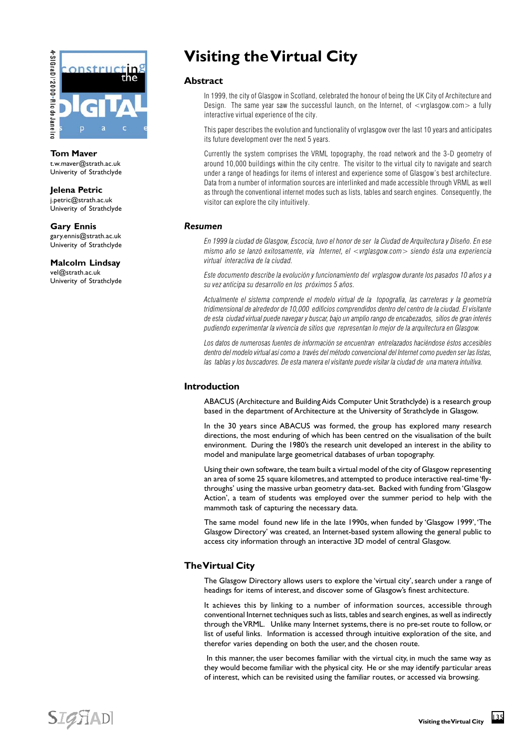

**Tom Maver** t.w.maver@strath.ac.uk Univerity of Strathclyde

**Jelena Petric** j.petric@strath.ac.uk Univerity of Strathclyde

**Gary Ennis** gary.ennis@strath.ac.uk Univerity of Strathclyde

**Malcolm Lindsay** vel@strath.ac.uk Univerity of Strathclyde

# **Visiting the Virtual City**

## **Abstract**

In 1999, the city of Glasgow in Scotland, celebrated the honour of being the UK City of Architecture and Design. The same year saw the successful launch, on the Internet, of  $\lt$  vrglasgow.com $>$  a fully interactive virtual experience of the city.

This paper describes the evolution and functionality of vrglasgow over the last 10 years and anticipates its future development over the next 5 years.

Currently the system comprises the VRML topography, the road network and the 3-D geometry of around 10,000 buildings within the city centre. The visitor to the virtual city to navigate and search under a range of headings for items of interest and experience some of Glasgow's best architecture. Data from a number of information sources are interlinked and made accessible through VRML as well as through the conventional internet modes such as lists, tables and search engines. Consequently, the visitor can explore the city intuitively.

## *Resumen*

En 1999 la ciudad de Glasgow, Escocia, tuvo el honor de ser la Ciudad de Arquitectura y Diseño. En ese mismo año se lanzó exitosamente, via Internet, el <vrglasgow.com> siendo ésta una experiencia virtual interactiva de la ciudad.

Este documento describe la evolución y funcionamiento del vrglasgow durante los pasados 10 años y a su vez anticipa su desarrollo en los próximos 5 años.

Actualmente el sistema comprende el modelo virtual de la topografía, las carreteras y la geometría tridimensional de alrededor de 10,000 edificios comprendidos dentro del centro de la ciudad. El visitante de esta ciudad virtual puede navegar y buscar, bajo un amplio rango de encabezados, sitios de gran interés pudiendo experimentar la vivencia de sitios que representan lo mejor de la arquitectura en Glasgow.

Los datos de numerosas fuentes de información se encuentran entrelazados haciéndose éstos accesibles dentro del modelo virtual así como a través del método convencional del Internet como pueden ser las listas, las tablas y los buscadores. De esta manera el visitante puede visitar la ciudad de una manera intuitiva.

## **Introduction**

ABACUS (Architecture and Building Aids Computer Unit Strathclyde) is a research group based in the department of Architecture at the University of Strathclyde in Glasgow.

In the 30 years since ABACUS was formed, the group has explored many research directions, the most enduring of which has been centred on the visualisation of the built environment. During the 1980's the research unit developed an interest in the ability to model and manipulate large geometrical databases of urban topography.

Using their own software, the team built a virtual model of the city of Glasgow representing an area of some 25 square kilometres, and attempted to produce interactive real-time 'flythroughs' using the massive urban geometry data-set. Backed with funding from 'Glasgow Action', a team of students was employed over the summer period to help with the mammoth task of capturing the necessary data.

The same model found new life in the late 1990s, when funded by 'Glasgow 1999', 'The Glasgow Directory' was created, an Internet-based system allowing the general public to access city information through an interactive 3D model of central Glasgow.

## **The Virtual City**

The Glasgow Directory allows users to explore the 'virtual city', search under a range of headings for items of interest, and discover some of Glasgow's finest architecture.

It achieves this by linking to a number of information sources, accessible through conventional Internet techniques such as lists, tables and search engines, as well as indirectly through the VRML. Unlike many Internet systems, there is no pre-set route to follow, or list of useful links. Information is accessed through intuitive exploration of the site, and therefor varies depending on both the user, and the chosen route.

 In this manner, the user becomes familiar with the virtual city, in much the same way as they would become familiar with the physical city. He or she may identify particular areas of interest, which can be revisited using the familiar routes, or accessed via browsing.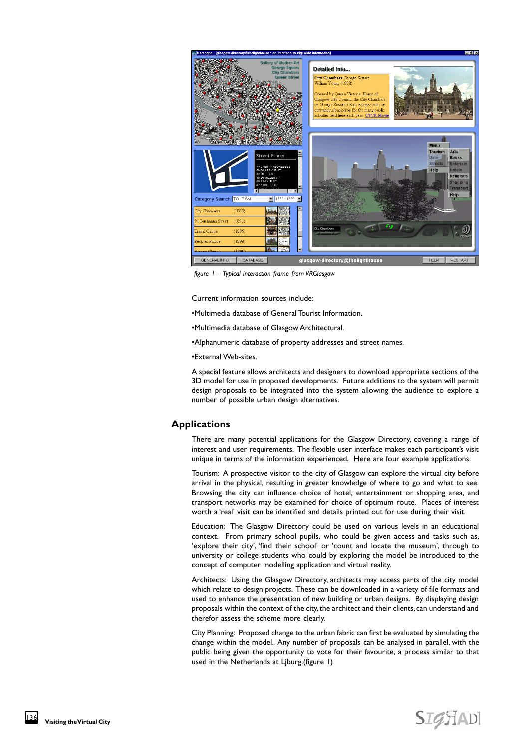

*figure 1 – Typical interaction frame from VRGlasgow*

Current information sources include:

•Multimedia database of General Tourist Information.

•Multimedia database of Glasgow Architectural.

•Alphanumeric database of property addresses and street names.

•External Web-sites.

A special feature allows architects and designers to download appropriate sections of the 3D model for use in proposed developments. Future additions to the system will permit design proposals to be integrated into the system allowing the audience to explore a number of possible urban design alternatives.

#### **Applications**

There are many potential applications for the Glasgow Directory, covering a range of interest and user requirements. The flexible user interface makes each participant's visit unique in terms of the information experienced. Here are four example applications:

Tourism: A prospective visitor to the city of Glasgow can explore the virtual city before arrival in the physical, resulting in greater knowledge of where to go and what to see. Browsing the city can influence choice of hotel, entertainment or shopping area, and transport networks may be examined for choice of optimum route. Places of interest worth a 'real' visit can be identified and details printed out for use during their visit.

Education: The Glasgow Directory could be used on various levels in an educational context. From primary school pupils, who could be given access and tasks such as, 'explore their city', 'find their school' or 'count and locate the museum', through to university or college students who could by exploring the model be introduced to the concept of computer modelling application and virtual reality.

Architects: Using the Glasgow Directory, architects may access parts of the city model which relate to design projects. These can be downloaded in a variety of file formats and used to enhance the presentation of new building or urban designs. By displaying design proposals within the context of the city, the architect and their clients, can understand and therefor assess the scheme more clearly.

City Planning: Proposed change to the urban fabric can first be evaluated by simulating the change within the model. Any number of proposals can be analysed in parallel, with the public being given the opportunity to vote for their favourite, a process similar to that used in the Netherlands at Ljburg.(figure 1)

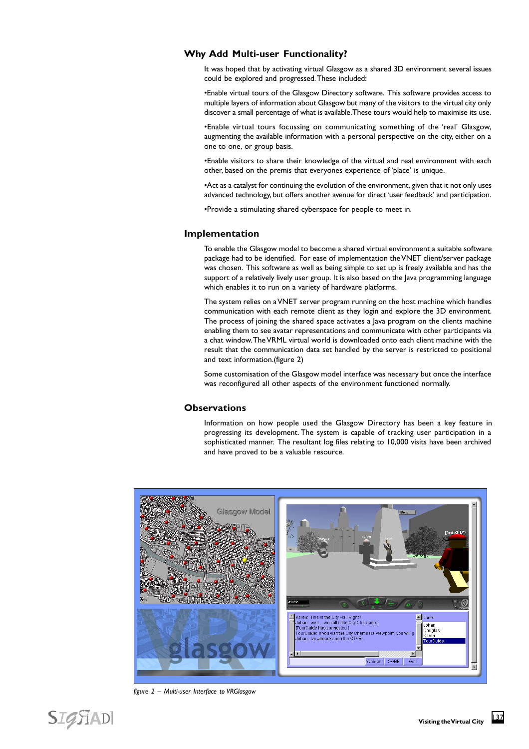## **Why Add Multi-user Functionality?**

It was hoped that by activating virtual Glasgow as a shared 3D environment several issues could be explored and progressed. These included:

•Enable virtual tours of the Glasgow Directory software. This software provides access to multiple layers of information about Glasgow but many of the visitors to the virtual city only discover a small percentage of what is available. These tours would help to maximise its use.

•Enable virtual tours focussing on communicating something of the 'real' Glasgow, augmenting the available information with a personal perspective on the city, either on a one to one, or group basis.

•Enable visitors to share their knowledge of the virtual and real environment with each other, based on the premis that everyones experience of 'place' is unique.

•Act as a catalyst for continuing the evolution of the environment, given that it not only uses advanced technology, but offers another avenue for direct 'user feedback' and participation.

•Provide a stimulating shared cyberspace for people to meet in.

#### **Implementation**

To enable the Glasgow model to become a shared virtual environment a suitable software package had to be identified. For ease of implementation the VNET client/server package was chosen. This software as well as being simple to set up is freely available and has the support of a relatively lively user group. It is also based on the Java programming language which enables it to run on a variety of hardware platforms.

The system relies on a VNET server program running on the host machine which handles communication with each remote client as they login and explore the 3D environment. The process of joining the shared space activates a Java program on the clients machine enabling them to see avatar representations and communicate with other participants via a chat window. The VRML virtual world is downloaded onto each client machine with the result that the communication data set handled by the server is restricted to positional and text information.(figure 2)

Some customisation of the Glasgow model interface was necessary but once the interface was reconfigured all other aspects of the environment functioned normally.

## **Observations**

Information on how people used the Glasgow Directory has been a key feature in progressing its development. The system is capable of tracking user participation in a sophisticated manner. The resultant log files relating to 10,000 visits have been archived and have proved to be a valuable resource.



*figure 2 – Multi-user Interface to VRGlasgow*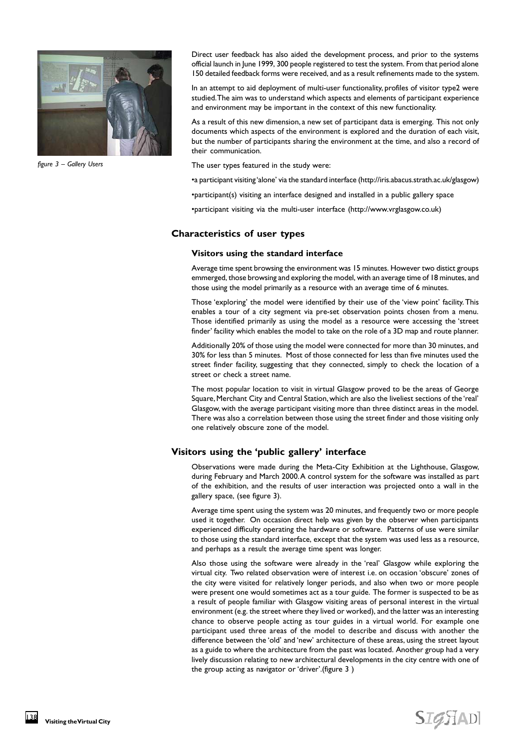

*figure 3 – Gallery Users*

Direct user feedback has also aided the development process, and prior to the systems official launch in June 1999, 300 people registered to test the system. From that period alone 150 detailed feedback forms were received, and as a result refinements made to the system.

In an attempt to aid deployment of multi-user functionality, profiles of visitor type2 were studied. The aim was to understand which aspects and elements of participant experience and environment may be important in the context of this new functionality.

As a result of this new dimension, a new set of participant data is emerging. This not only documents which aspects of the environment is explored and the duration of each visit, but the number of participants sharing the environment at the time, and also a record of their communication.

The user types featured in the study were:

•a participant visiting 'alone' via the standard interface (http://iris.abacus.strath.ac.uk/glasgow)

•participant(s) visiting an interface designed and installed in a public gallery space

•participant visiting via the multi-user interface (http://www.vrglasgow.co.uk)

#### **Characteristics of user types**

#### **Visitors using the standard interface**

Average time spent browsing the environment was 15 minutes. However two distict groups emmerged, those browsing and exploring the model, with an average time of 18 minutes, and those using the model primarily as a resource with an average time of 6 minutes.

Those 'exploring' the model were identified by their use of the 'view point' facility. This enables a tour of a city segment via pre-set observation points chosen from a menu. Those identified primarily as using the model as a resource were accessing the 'street finder' facility which enables the model to take on the role of a 3D map and route planner.

Additionally 20% of those using the model were connected for more than 30 minutes, and 30% for less than 5 minutes. Most of those connected for less than five minutes used the street finder facility, suggesting that they connected, simply to check the location of a street or check a street name.

The most popular location to visit in virtual Glasgow proved to be the areas of George Square, Merchant City and Central Station, which are also the liveliest sections of the 'real' Glasgow, with the average participant visiting more than three distinct areas in the model. There was also a correlation between those using the street finder and those visiting only one relatively obscure zone of the model.

## **Visitors using the 'public gallery' interface**

Observations were made during the Meta-City Exhibition at the Lighthouse, Glasgow, during February and March 2000. A control system for the software was installed as part of the exhibition, and the results of user interaction was projected onto a wall in the gallery space, (see figure 3).

Average time spent using the system was 20 minutes, and frequently two or more people used it together. On occasion direct help was given by the observer when participants experienced difficulty operating the hardware or software. Patterns of use were similar to those using the standard interface, except that the system was used less as a resource, and perhaps as a result the average time spent was longer.

Also those using the software were already in the 'real' Glasgow while exploring the virtual city. Two related observation were of interest i.e. on occasion 'obscure' zones of the city were visited for relatively longer periods, and also when two or more people were present one would sometimes act as a tour guide. The former is suspected to be as a result of people familiar with Glasgow visiting areas of personal interest in the virtual environment (e.g. the street where they lived or worked), and the latter was an interesting chance to observe people acting as tour guides in a virtual world. For example one participant used three areas of the model to describe and discuss with another the difference between the 'old' and 'new' architecture of these areas, using the street layout as a guide to where the architecture from the past was located. Another group had a very lively discussion relating to new architectural developments in the city centre with one of the group acting as navigator or 'driver'.(figure 3 )